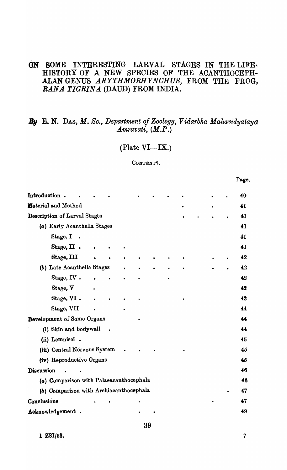# ON SOME INTERESTING LARVAL STAGES IN THE LIFE. HISTORY OF A NEW SPECIES OF THE ACANTHOCEPH-ALAN GENUS ARYTHMORHYNCHUS, FROM THE FROG, *RANA. TIGRINA* (DAUD) FROM INDIA.

# **E. N. DAS, M. Sc., Department of Zoology, Vidarbha Mahavidyalaya** *Amravati, (M.P.)*

# $(Plate VI—IX.)$

#### CONTENTS.

| Introduction.                           |  |  |  |  |  |  |  |  |  |    | 40 |
|-----------------------------------------|--|--|--|--|--|--|--|--|--|----|----|
| Material and Method                     |  |  |  |  |  |  |  |  |  |    | 41 |
| <b>Description of Larval Stages</b>     |  |  |  |  |  |  |  |  |  | 41 |    |
| (a) Early Acanthella Stages             |  |  |  |  |  |  |  |  |  | 41 |    |
| Stage, I                                |  |  |  |  |  |  |  |  |  |    | 41 |
| Stage, II.                              |  |  |  |  |  |  |  |  |  |    | 41 |
| Stage, III                              |  |  |  |  |  |  |  |  |  |    | 42 |
| (b) Late Acanthella Stages              |  |  |  |  |  |  |  |  |  |    | 42 |
| Stage, IV.                              |  |  |  |  |  |  |  |  |  |    | 42 |
| Stage, V                                |  |  |  |  |  |  |  |  |  |    | 42 |
| Stage, VI.                              |  |  |  |  |  |  |  |  |  |    | 43 |
| Stage, VII                              |  |  |  |  |  |  |  |  |  |    | 44 |
| Development of Some Organs              |  |  |  |  |  |  |  |  |  |    | 44 |
| (i) Skin and bodywall                   |  |  |  |  |  |  |  |  |  | 44 |    |
| (ii) Lemnisci.                          |  |  |  |  |  |  |  |  |  |    | 45 |
| (iii) Central Nervous System            |  |  |  |  |  |  |  |  |  |    | 45 |
| (iv) Reproductive Organs                |  |  |  |  |  |  |  |  |  |    | 45 |
| <b>Discussion</b>                       |  |  |  |  |  |  |  |  |  |    | 46 |
| (a) Comparison with Palaeacanthocephala |  |  |  |  |  |  |  |  |  |    | 46 |
| (b) Comparison with Archiacanthocephala |  |  |  |  |  |  |  |  |  |    | 47 |
| Conclusions                             |  |  |  |  |  |  |  |  |  |    | 47 |
| Acknowledgement.                        |  |  |  |  |  |  |  |  |  |    | 49 |

1 ZSI/53.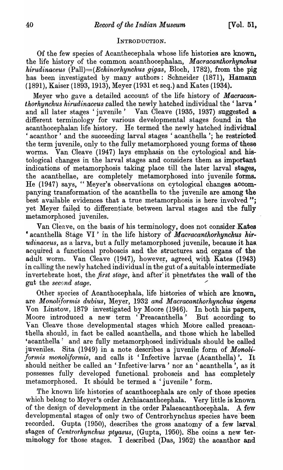## INTRODUCTION.

Of the few species of Acanthecephala whose life histories are known, the life history of the common acanthocephalan, *Macracanthorhynchus hirudinaceus (Pall}={Echinorhynchus gjgas,* Bloch, 1782), from the pig has been investigated by many authors: Schneider (1871), Hamann (1891), Kaiser (1893, 1913), Meyer (1931 et seq.) and Kates (1934).

Meyer who gave a detailed account of the life history of *Macracanthorhynchus hi'rudinaceus* called the newly hatched individual the' larva' and all later stages 'juvenile' Van Cleave (1935, 1937) suggested a different terminology for various developmental stages found in the acanthocephalan life history. He termed the newly hatched individual. ' acanthor<sup>'</sup> and the succeeding larval stages ' acanthella '; he restricted. the term juvenile, only to the fully metamorphosed young forms of these worms. Van Cleave (1947) lays emphasis on the cytological and histological changes in the larval stages and considers them as important indications of metamorphosis taking place till the later larval stages, the acanthellae, are completely metamorphosed into juvenile forms. He (1947) says, "Meyer's observations on cytological changes accompanying transformation of the acanthella to the juvenile are among the best available evidences that a true metamorphosis is here involved": yet Meyer failed to differentiate between larval stages and the fully metamorphosed juveniles.<br>Van Cleave, on the basis of his terminology, does not consider Kates

<sup>•</sup> acanthella Stage VI' in the life history of *Macracanthorhynchus hirudinaceus*, as a larva, but a fully metamorphosed juvenile, because it has acquired a functional proboscis and the structures. and organs of the adult worm. Van Cleave (1947), however, agreed with Kates (1943) in calling the newly hatched individual in the gut of a suitable intermediate invertebrate host, the *first stage*, and after it penetrates the wall of the gut the *second* stage.

Other species of Acanthocephala, life histories of which are known. are *Morwltformis dubius,* Meyer, 1932 *and Macracanthorhynchus ingens*  Von Linstow, 1879 investigated by Moore (1946). In both his papers, Moore introduced a new term 'Preacanthella' But according to Van Cleave those developmental stages which Mobre called preacanthella should, in fact be called acanthella, and those which he labelled 'acanthella' and are fully metamorphosed individuals should be called juveniles. Sita (1949) in a note describes a juvenile form of *Monoliformis monoliformis*, and calls it 'Infective larvae (Acanthella)'. It should neither be called an 'Infective larva' nor an 'acanthella', as it possesses fully developed functional. proboscis and has completely metamorphosed. It should be termed a 'juvenile' form.

The known life histories of acanthocephala are only of those species which belong to Meyer's order Archiacanthcephala. Very little is known of the design of development in the order Palaeacanthocephala. A few developmental stages of only two of Centrorhynchus species have been recorded. Gupta (1950), describes the gross anatomy of a few larval. stages of *Centrorhynchus ptyasus,* (Gupta, 1950). She coins a new terminology for those stages. I described (Das, 1952) the acanthor and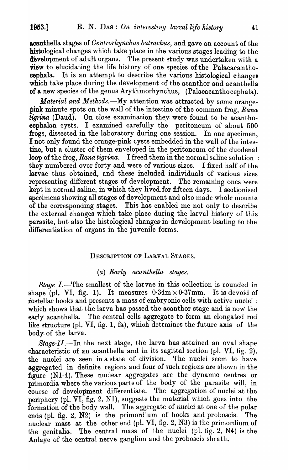acanthella stages of *Oentrorhynchus batrachus,* and gave an account of the histological changes which take place in the various stages leading to the development of adult organs. The present study was undertaken with a view to elucidating the life history of one species of the Palaeacanthocephala. It is an attempt to describe the various histological changes which take place during the development of the acanthor and acanthella of a new species of the genus Arythmorhynchus, (Palaeacanthocephala) .

*Material and Methods.*—My attention was attracted by some orangepink minute spots on the wall of the intestine of the common frog, *Rana tigrina* (Daud). On close examination they were found to be acanthocephalan cysts. I examined carefully the peritoneum of about 500 frogs, dissected in the laboratory during one session. In one specimen, I not only found the orange-pink oysts embedded in the wall of the intestine, but a cluster of them enveloped in the peritoneum of the duodenal loop of the frog, *Rana tigrina.* I freed them in the normal saline solution ; they numbered over forty and were of various sizes. I fixed half of the larvae thus obtained, and these included individuals of various sizes representing different stages of development. The remaining ones were kept in normal saline, in which they lived for fifteen days. I sectionised specimens showing all stages of development and also made whole mounts of the corresponding stages. This has enabled me not only to describe the external changes which take place during the larval history of this parasite, but also the histological changes· in development leading to the differentiation of organs in the juvenile forms.

#### DESCRIPTION OF LARVAL STAGES.

### *(a) Early aca'nthella stages.*

*Stage I.*—The smallest of the larvae in this collection is rounded in shape (pl. VI, fig. 1). It measures  $0.34 \text{m} \times 0.37 \text{mm}$ . It is devoid of rostellar hooks and presents a mass of embryonic cells with active nuclei: which shows that the larva has passed the acanthor stage and is now the early acanthella. The central cells aggregate to form an elongated rod' like structure (pI. VI, fig. 1, fa), which detrmines the future axis of the body. of the larva.

*Stage-II.*—In the next stage, the larva has attained an oval shape characteristic of an acanthella and in its sagittal section (p1. VI, fig. 2). the nuclei are seen in a state of division. The nuclei seem to have aggregated in definite regions and four of such regions are shown in the figure (Nl-4). These nuclear aggregates are the dynamic centres or primordia where the various parts of the body of the parasite will, in course of development differentiate. The aggregation of nuclei at the periphery (pl. VI, fig. 2, N1), suggests the material which goes into the formation of the body wall. The aggregate of nuclei at one of the polar ends (pl. fig. 2, N2) is the primordium of hooks and proboscis. The nuclear mass at the other end (pI. VI, fig. 2, N3) is the primordium of the genitalia. The central mass of the nuclei (pl. fig. 2, N4) is the Anlage of the central nerve ganglion and the proboscis sheath.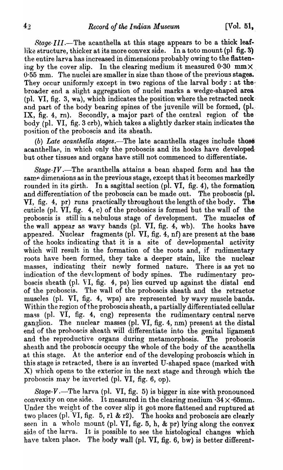*Stage-III.*—The acanthella at this stage appears to be a thick leaflike structure, thicker at its more convex side. In a toto mount (pl fig. 3) the entire larva has increased in dimensions probably owing to the flattening by the cover slip. In the clearing medium it measured  $0.30$  mm $\times$ 0·55 mm. The nuclei are smaller in size than those of the previous stages. They occur uniformly except in two regions of the larval body: at thebroader end a slight aggregation of nuclei marks a wedge-shaped area (pl. VI, fig. 3, wa), which indicates the position where the retracted neckand part of the body bearing spines of the juvenile will be formed,  $(\text{pl.})$ IX, fig. 4, rn). Secondly, a major part of the central region of the body (pI. VI, fig. 3 crb), which takes a slightly darker stain indicates the position of the proboscis and its sheath.

*(b)* Late acanthella stages.—The late acanthella stages include those acanthellae, in which only the proboscis and its hooks have developedbut other tissues and organs have still not commenced to differentiate.

*Stage-IV.-The* acanthella attains a bean shaped form and has the samp dimensions as in the previous stage, except that it becomes markedly rounded in its girth. In a sagittal section (pl. VI, fig. 4), the formation and differentiation of the proboscis can be made out. The proboscis (pl. VI, fig. 4, pr) runs practically throughout the length of the body. The cuticle (pl.  $\overline{VI}$ , fig. 4, c) of the probosics is formed but the wall of the proboscis is still in a nebulous stage of development. The muscles of the wall appear as wavy bands (pl. VI, fig. 4, wb). The hooks have appeared. Nuclear fragments (pl. VI, fig.  $4$ , nf) are present at the base of the hooks indicating that it is a site of developmental activity which will result in the formation of the roots and, if rudimentary roots have been formed, they take a deeper stain, like the nuclear masses, indicating their newly formed nature. There is as yet no indication of the development of body spines. The rudimentary proboscis sheath (pI. VI, fig. 4, ps) lies curved up against the distal end of the proboscis. The wall of the proboscis sheath and the retractor muscles (pI. VI, fig. 4, wps) are represented by wavy muscle bands. Within the region of the proboscis sheath, a partially differentiated cellular mass (pl. VI, fig. 4, cng) represents the rudimentary central nerve ganglion. The nuclear masses (pI. VI, fig. 4, nm) present at the distal end of the prohoscis sheath will differentiate into the genital ligament and the reproductive organs during metamorphosis. The proboscis sheath and the proboscis occupy the whole of the body of the acanthella at this stage. At the anterior end of the developing proboscis which in this stage is retracted, there is an inverted U-shaped space (marked with  $X$ ) which opens to the exterior in the next stage and through which the proboscis may be inverted (pI. VI, fig. 6, op).

*Stage-V* .—The larva (pl. VI, fig. 5) is bigger in size with pronounced convexity on one side. It measured in the clearing medium  $\cdot 34 \times \cdot 65$  mm. Under the weight of the cover slip it got more flattened and ruptured at two places (pl. VI, fig. 5, rl & r2). The hooks and proboscis are clearly seen in a whole mount (pl. VI, fig. 5, h,  $\&$  pr) lying along the convex side of the larva. It is possible to see the histological changes which have taken place. The body wall (pl. VI, fig. 6, bw) is better different-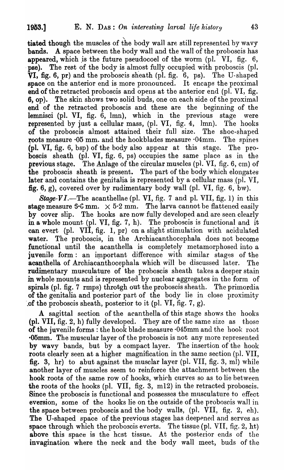$\mathbf{r}$ tiated though the muscles of the body wall are still represented by wavy **bands.** A space between the body wall and the wall of the proboscis has appeared, which is the future pseudocoel of the worm  $\text{p1. } V\text{I}$ , fig. 6,  $\bar{p}$  nse). The rest of the body is almost fully occupied with proboscis (pl.  $\overline{VI}$ , fig. 6, pr) and the proboscis sheath (pl. fig. 6, ps). The U-shaped space on the anterior end is more pronounced. It encaps the proximal end of the retracted proboscis and opens at the anterior end (pl. VI, fig. 6, op). The skin shows two solid buds, one on each side of the proximal end of the retracted proboscis and these are the beginning of the lemnisci (pl. VI, fig.  $\tilde{6}$ , lmn), which in the previous stage were represented by just a cellular mass, (pI. VI, fig. 4, lmn). The hooks of the proboscis almost attained their full size. The shoe-shaped roots measure  $\cdot$ 05 mm. and the hookblades measure  $\cdot$ 04mm. The spines (pl. VI, fig. 6, bsp) of the body also appear at this stage. The proboscis sheath (pl. VI, fig. 6, ps) occupies the same place as in the previous stage. The Anlage of the circular muscles (pl. VI, fig. 6, cm) of the proboscis sheath is present. The part of the body which elongates later and contains the genitalia is represented by a cellular mass  $(p)$ . VI. fig. 6, g), covered over by rudimentary body wall (pl. VI, fig. 6, bw).

*Stage-VI.*—The acanthellae (pl. VI, fig. 7 and pl. VII, fig. 1) in this stage measure  $5.6$  mm.  $\times 5.2$  mm. The larva cannot be flattened easily by cover slip. The hooks are now fully developed and are seen clearly in a whole mount (pI. VI, fig. 7, h). The proboscis is functional and it can evert (pI. VII, fig. 1, pr) on a slight stimulation with acidulated water. The proboscis, in the Archiacanthocephala does not become functional until the acanthella is completely metamorphosed into a juvenile form: an important difference with similar stages of the acanthella of Archiacanthocephala which will be discussed later. The rudimentary musculature of the proboscis sheath takes a deeper stain in whole mounts and is represented by nuclear aggregates in the form of spirals (pI. fig. 7 rmps) throtgh out the proboscis sheath. The primordia of the genitalia and posterior part of the body lie in close proximity of the proboscis sheath, posterior to it (pl. VI, fig.  $7, g$ ).

A sagittal section of the acanthella of this stage shows the hooks (pl. VII, fig. 2, h) fully developed. They are of the same size as those of the juvenile forms: the hook blade measure  $0.45$ mm and the hook root **.05mm.** The muscular layer of the proboscis is not any more represented by wavy bands, but by a compact layer. The insertion of the hook roots clearly seen at a higher magnification in the same section (p1. VII, fig. 3, hr) to abut against the musclar layer (pl. VII, fig. 3, ml) while another layer of muscles seem to reinforce the attachment between the hook roots of the same row of hooks, which curves so as to lie between the roots of the hooks (pI. VII, fig. 3, m12) in the retracted proboscis. Since the proboscis is functional and possesses the musculature to effect eversion, some of the hooks lie on the outside of the proboscis wall in the space between proboscis and the body walls, (pl. VII, fig. 2, eh). The U-shaped space of the previous stages has deepened and serves as space through which the proboscis everts. The tissue (pl. VII, fig. 2, ht) above this space is the hest tissue. At the posterior ends of the invagination where the neck and the body wall meet, buds of the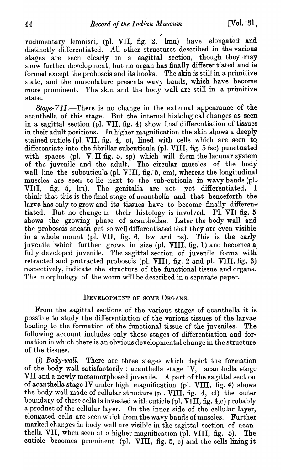rudimentary lemnisci, (pl. VII, fig.  $2,$  mm) have elongated and distinctly differentiated. All other structures described in the various stages are seen clearly in a sagittal section, though they may show further development, but no organ has finally differentiated and is formed except the proboscis and its hooks. The skin is still in a primitive state, and the musculature presents wavy bands, which have become more prominent. The skin and the body wall are still in a primitive state.

*Stage-VII.-There* is no change in the external appearance of the acanthella of this stage. But the internal histological changes as seen in a sagittal section (pI. VII, fig. 4) show final differentiation of tissues in their adult positions. In higher magnification the skin shows a deeply stained cuticle (pI. VII, fig. 4, c), lined with cells which are seen tQ differentiate into the fibrillar subcuticula (pl. VIII, fig. 5 fsc) punctuated with spaces (pl. VIII fig. 5, sp) which will form the lacunar system of the juvenile and the adult. The circular muscles of the body wall line the subcuticula (pl. VIII, fig. 5, cm), whereas the longitudinal muscles are seen to lie next to the sub-cuticula in wavy bands (pl.. VIII, fig. 5, lm). The genitalia are not yet differentiated. think that this is the final stage of acanthella and that henceforth the larva has only to grow and its tissues have to become finally differentiated. But no change in their histology is involved. Pl. VII fig. 5 shows the growing phase of acanthellae. Later the body wall and the proboscis sheath get so well differentiated that they are even visible in a whole mount (pl. VII, fig. 6, bw and ps). This is the early juvenile which further grows in size (pl. VIII, fig. 1) and becomes a fully developed juvenile. The sagittal section of juvenile forms with retracted and protracted proboscis (pl. VIII, fig. 2 and pl. VIII, fig. 3) respectively, indicate the structure of the functional tissue and organs. The morphology of the worm will be described in a separate paper.

## DEVELOPMENT OF SOME ORGANS.

From the sagittal sections of the various stages of acanthella it is possible to study the differentiation of the various tissues of the larvae. leading to the formation of the functional tissue of the juveniles. The following account includes only those stages of differentiation and formation in which there is an obvious developmental change in the structure of the tissues.

(i) *Body-wall*.—There are three stages which depict the formation of the body wall satisfactorily: acanthella stage IV, acanthella stage VII and a newly metamorphosed juvenile. A part of the sagittal section of acanthella stage IV under high magnification (pI. VIII, fig. 4) shows the body wall made of cellular structure (pl. VIII, fig. 4, cl) the outer boundary of these cells is invested with cuticle (pl. VIII, fig. 4,c) probably a product of the cellular layer. On the inner side of the cellular layer, elongated cells are seen which from the wavy bands of muscles. Further marked changes in body wall are visible in the sagittal section of acan thella VII, when seen at a higher magnification (pl. VIII, fig. 5). The cuticle becomes prominent (pl. VIII, fig. 5, c) and the cells lining it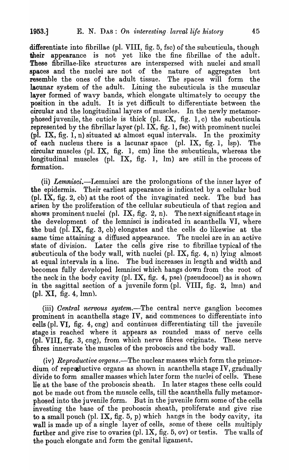differentiate into fibrillae (pI. VIII, fig. 5, fsc) of the subcuticula, though their appearance is not yet like the fine fibrillae of the adult. These fibrilIae-like structures are interspersed with nuclei and small spaces and the nuclei are not of the nature of aggregates but resemble the ones of the adult tissue. The spaces will form the lacunar system of the adult. Lining the subcuticula is the muscular layer formed of wavy bands, which elongate ultimately to occupy the position in the adult. It is yet difficult to differentiate between the oircular and the longitudinal layers of muscles. In the newly metamorphosed juvenile, the cuticle is thick (pl. IX, fig. 1, c) the subcuticula represented by the fibrillar layer (pl.  $IX$ , fig. 1, fsc) with prominent nuclei (pl. IX, fig. 1, n) situated at almost equal intervals. In the proximity of each nucleus there is a lacunar space (pI. IX, fig. 1, lsp). The circular muscles (pl. IX, fig. 1, cm) line the subcuticula, whereas the longitudinal muscles (pI. IX, fig. 1, 1m) are still in the process of formation.

(ii) *Lemnisci*.--I.emnisci are the prolongations of the inner layer of the epidermis. Their earliest appearance is indicated by a cellular bud (pl.  $\bar{IX}$ , fig. 2, cb) at the root of the invaginated neck. The bud has arisen by the proliferation of the cellular subcuticula of that region and shows prominent nuclei (pl. IX, fig. 2, n). The next significant stage in the development of the lemnisci is indicated in acanthella VI, where the bud (pl. IX, fig. 3, cb) elongates and the cells do likewise at the same time attaining a diffused appearance. The nuclei are in an active state of division. Later the cells give rise to fibrillae typical of the subcuticula of the body wall, with nuclei (pI. IX, fig. 4, n) lying almost at equal intervals in a line. The bud increases in length and width and becomes fully developed lemnisci which hangs down from the root of the neck in the body cavity (pI. IX, fig. 4, pse) (pseudocoel) as is shown in the sagittal section of a juvenile form  $\pi$ . WIII, fig. 2, lmn) and  $\{\text{pl. XI}, \text{ fig. 4}, \text{lmn}\}.$ 

(iii) *Central nervous system*.—The central nerve ganglion becomes prominent in acanthella stage IV, and commences to differentiate into cells (pl. VI, fig. 4, cng) and continues differentiating till the juvenile stage is reached where it appears as rounded mass of nerve cells (pI. VIII, fig. 3, eng), from which nerve fibres originate. These nerve fibres innervate the muscles of the proboscis and the body wal1.

(iv) *Reproductive organs.*—The nuclear masses which form the primor- $\dim$  of reproductive organs as shown in acanthella stage IV, gradually divide to form smaller masses which later form the nuclei of cells. These lie at the base of the proboscis sheath. In later stages these cells could not be made out from the muscle cells, till the acanthella fully metamorphosed into the ju venile form. But in the juvenile form some of the cells investing the base of the prohoscis sheath, proliferate and give rise to a small pouch (pl.  $IX$ , fig. 5, p) which hangs in the body cavity, its wall is made up of a single layer of cells, some of these cells multiply further and give rise to ovaries (pl.  $IX$ , fig. 5, ov) or testis. The walls of the pouch elongate and form the genital ligament.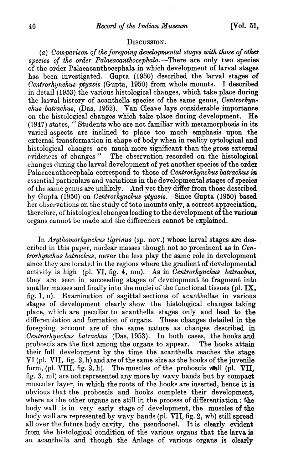#### DISCUSSION.

(a) Comparison of the foregoing developmental stages with those of other *species of the order Palaeacanthocephala.-There* are only two species of the order Palaeacanthocephala in which development of larval stages has been investigated. Gupta (1950) described the larval stages of *Oentrorhynchus ptyasis* (Gupta, 1950) from whole mounts. I described in detail (1953) the various histological changes, which take place during the larval history of acanthella species of the same genus, *Centrorhynchus batrachus, (Das, 1952).* Van Cleave lays considerable importance on the histological changes which take place during development. He (1947) states, " Students who are not familiar with metamorphosis in its varied aspects are jnclined to place too much emphasis upon the external transformation in shape of body when in reality cytological and histological changes are much more significant than the gross external evidences of changes " The observation recorded on the histological changes during the larval development of yet another species of the order Palaeacanthorephala correspond to those of *Centrorhynchus batrachus* in essential particulars and variations in the developmental stages of species of the same genus are unlikely. And vet they differ from those described by Gupta (1950) on *Centrorhynchus ptyasis*. Since Gupta (1950) based her observations on the study of toto mounts only, a correct appreciation, therefore, of histological changes leading to the development of the various organs cannot be made and the differences cannot be explained.

In *Arythomorhynchus tigrinus* (sp. nov.) whose larval stages are described in this paper, nuclear masses though not so prominent as in *Oentrorhynchus batrachus,* never the less play the same role in development since they are located in the regions where the gradient of developmental activity is high (pl. VI, fig. 4, nm). As in *Centrorhynchus batrachus*, they are seen in succeeding stages of development to fragment into smaller masses and finally into the nuclei of the functional tissues (pI. IX, fig. 1, n). Examination of sagittal sections of acanthellae in various stages of development clearly show the histological changes taking place, which are peculiar to acanthella stages only and lead to the differentiation and formation of organs. These changes detailed in the foregoing account are of the same nature as changes described in *Centrorhynchus batrachus* (Das, 1953). In both cases, the hooks and proboscis are the first among the organs to appear. The hooks attain their full development by the time the acanthella reaches the stage VI (pl. VII, fig. 2, h) and are of the same size as the hooks of the juvenile form, (pl. VIII, fig. 2, h). The muscles of the proboscis wall (pl. VII, fig. 3, ml) are not represented any more by wavy bands but by compact muscular layer, in which the roots of the hooks are inserted, hence it is obvious that the proboscis and hooks complete their development, where as the other organs are still in the process of differentiation: the body wall is in very early stage of development, the muscles of the body wall are represented by wavy bands (pl. VII, fig. 2, wb) still spread all over the future body cavity, the pseudocoel. It is clearly evident from the histological condition of the various organs that the larva is an acanthella and though the Anlage of various organs is clearly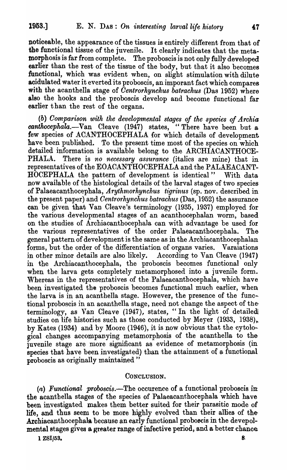noticeable, the appearance of the tissues is entirely different from that of the functional tissue of the juvenile. It clearly indicates that the metamorphosis is far from complete. The proboscis is not only fully developed earlier than the rest of the tissue of the body, but that it also becomes functional, which was evident when, on slight stimulation with dilute acidulated water it everted its proboscis, an imporant fact which compares with the acanthella stage of *Centrorhynchus batrachus* (Das 1952) where also the hooks and the proboscis develop and become functional far earlier than the rest of the organs.

(b) Comparison with the developmental stages of the species of Archia *canthocephala.*-Van Cleave (1947) states, "There have been but a few species of ACANTHOCEPHALA for which details of development have been published. To the present time most of the species on which detailed information is available belong to the ARCHIACANTHOCE-PHALA. There is *no necessary assurance* (italics are mine) that in representatives of the EOACANTHOCEPHALA and the PALAEACANT-HOCEPHALA the pattern of development is identical" With data now available of the histological details of the larval stages of two species of Palaeacanthocephala, *Arythmorhynchus tigrinus* (sp. nov. described in the present paper) and *Centrorhynchus batrachus* (Das, 1952) the assurance can be given that Van Cleave's terminology (1935, 1937) employed for the various developmental stages of an acanthocephalan worm, based on the studies of Archiacanthocephala can with advantage be used for the various representatives of the order Palaeacanthocephala. The general pattern of development is the same as in the Archiacanthocephalan forms, but the order of the differentiation of organs varies. Varaiations in other minor details are also likely. According to Van Cleave (1947) in the Archiacanthocephala, the proboscis becomes functional only when the larva gets completely metamorphosed into a juvenile form. Whereas in the representatives of the Palaeacantbocephala, which have been investigated the proboscis becomes functional much earlier, when the larva is in an acanthella stage. However, the presence of the functional proboscis in an acanthella stage, need not change the aspect of theterminology, as Van Cleave (1947), states, "In the light of detailed studies on life histories such as those conducted by Meyer  $(1933, 1938)$ , by Kates (1934) and by Moore (1946), it is now obvious that the cytological changes accompanying metamorphosis of the acanthella to the juvenile stage are more significant as evidence of metamorphosis (in species that have been investigated) than the attainment of a functional proboscis as originally maintained"

### CONCLUSION.

*(a) Functional proboscis.-The* occurence of a functional proboscis in. the acantbella stages of the species of Palaeacanthocephala which have been investigated makes them better suited for their parasitic mode of life, and thus seem to be more highly evolved than their allies of the· Archiacanthocephala because an early functional proboecis in the devepolmental stages gives a greater range of infective period, and a better chance:

 $1 \text{ ZSI}/53.$  8.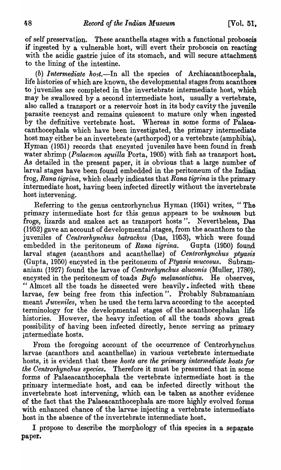of self preservation. These acanthella stages with a functional proboscis if ingested by a vulnerable host, will evert their proboscis on reacting with the acidic gastric juice of its stomach, and will secure attachment to the lining of the intestine.

*(b) Intermediate host.-In* all the species of Archiacanthocephala, life histories of which are known, the developmental stages from acanthors to juveniles are completed in the invertebrate intermediate host, which may be swallowed  $b\bar{y}$  a second intermediate host, usually a vertebrate, also called a transport or a reservoir host in its body cavity the juvenile parasite reencyst and remains quiescent to mature only when ingested by the definitive vertebrate host. Whereas in some forms of Palaeacanthocephala which have been investigated, the primary intermediate host may either be an invertebrate (arthorpod) or a vertebrate (amphibia). Hyman (1951) records that encysted juveniles have been found in fresh water shrimp *(Palaemon squilla* Porta, 1905) with fish as transport host. As detailed in the present paper, it is obvious that a large number of larval stages have been found embedded in the peritoneum of the Indian' frog, *Rana tigrina*, which clearly indicates that *Rana tigrina* is the primary intermediate host, having been infected directly without the invertebrate host intervening.

Referring to the genus centrorhynchus Hyman (1951) writes, "The. primary intermediate host for this genus appears to be *unknown* hut frogs, lizards and snakes act as transport hosts". Nevertheless, Das (1952) gave an account of developmental stages, from the acanthors to the juveniles of *Centrorhynchus batrachus* (Das, 1953), which were found embedded in the peritoneum of *Rana tigrina*. Gupta (1950) found larval stages (acanthors and acanthellae) of *Centrorhynchus ptyasis* (Gupta, 1950) encysted in the peritoneum of *Ptyasis mucosus*. Subramaniaru (1927) found the larvae of *Oentrorhynchus aluconis* (Muller, 1780). encysted in the peritoneum of toads *Bufo melanostictus.* He observes, " Almost all the toads he dissected were heavily. infected with these larvae, few being free from this infection". Probably Subramaniam meant *Juveniles*, when he used the term larva according to the accepted terminology for the developmental stages of the acanthocephalan life histories. However, the heavy infection of all the toads shows great possibility of having been infected directly, hence serving as primary intermediate hosts.

From the foregoing account of the occurrence of Centrorhynchus. larvae (acanthors and acanthellae) in various vertebrate intermediate hosts, it is evident that these *hosts are the primary intermediate hosts for the Centrorhynchus species.* Therefore it must be presumed that in some forms of Palaeacanthocephala the vertebrate intermediate host is the primary intermediate host, and can be infected directly without the invertebrate host intervening, which can be taken as another evidence of the fact that the Palaeacanthocephala are more highly evolved forms with enhanced chance of the larvae injecting a vertebrate intermediate. host in the absence of the invertebrate intermediate host.

I propose to describe the morphology of this species in a separate paper.